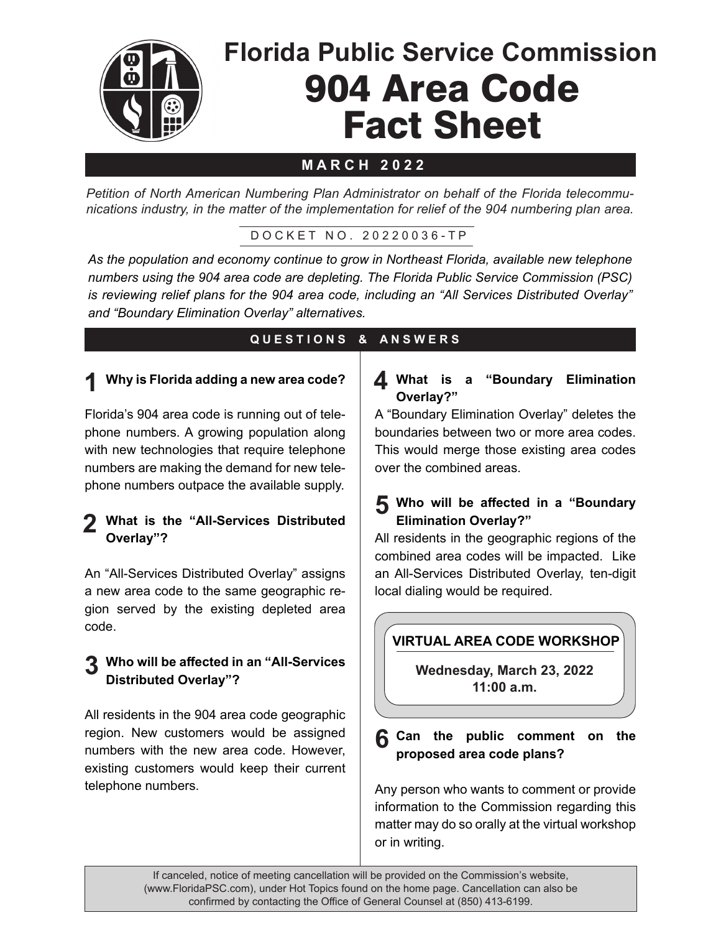

# **M A R C H 2 0 2 2**

*Petition of North American Numbering Plan Administrator on behalf of the Florida telecommunications industry, in the matter of the implementation for relief of the 904 numbering plan area.* 

D O C K E T N O . 2 0 2 2 0 0 3 6 - T P

*As the population and economy continue to grow in Northeast Florida, available new telephone numbers using the 904 area code are depleting. The Florida Public Service Commission (PSC) is reviewing relief plans for the 904 area code, including an "All Services Distributed Overlay" and "Boundary Elimination Overlay" alternatives.*

# **Q U E S T I O N S & A N S W E R S**

#### **Why is Florida adding a new area code? 1**

Florida's 904 area code is running out of telephone numbers. A growing population along with new technologies that require telephone numbers are making the demand for new telephone numbers outpace the available supply.

#### 2 What is the "All-Services Distributed **Overlay"?**

An "All-Services Distributed Overlay" assigns a new area code to the same geographic region served by the existing depleted area code.

#### **3** Who will be affected in an "All-Services<br>
Distributed Overlay"? **Distributed Overlay"?**

All residents in the 904 area code geographic region. New customers would be assigned numbers with the new area code. However, existing customers would keep their current telephone numbers.

#### **What is a "Boundary Elimination 4 Overlay?"**

A "Boundary Elimination Overlay" deletes the boundaries between two or more area codes. This would merge those existing area codes over the combined areas.

### **5** Who will be affected in a "Boundary" **Elimination Overlay?"**

All residents in the geographic regions of the combined area codes will be impacted. Like an All-Services Distributed Overlay, ten-digit local dialing would be required.

# **VIRTUAL AREA CODE WORKSHOP**

**Wednesday, March 23, 2022 11:00 a.m.**

**6** Can the public comment on the **proposed** area code plans? **proposed area code plans?**

Any person who wants to comment or provide information to the Commission regarding this matter may do so orally at the virtual workshop or in writing.

If canceled, notice of meeting cancellation will be provided on the Commission's website, (www.FloridaPSC.com), under Hot Topics found on the home page. Cancellation can also be confirmed by contacting the Office of General Counsel at (850) 413-6199.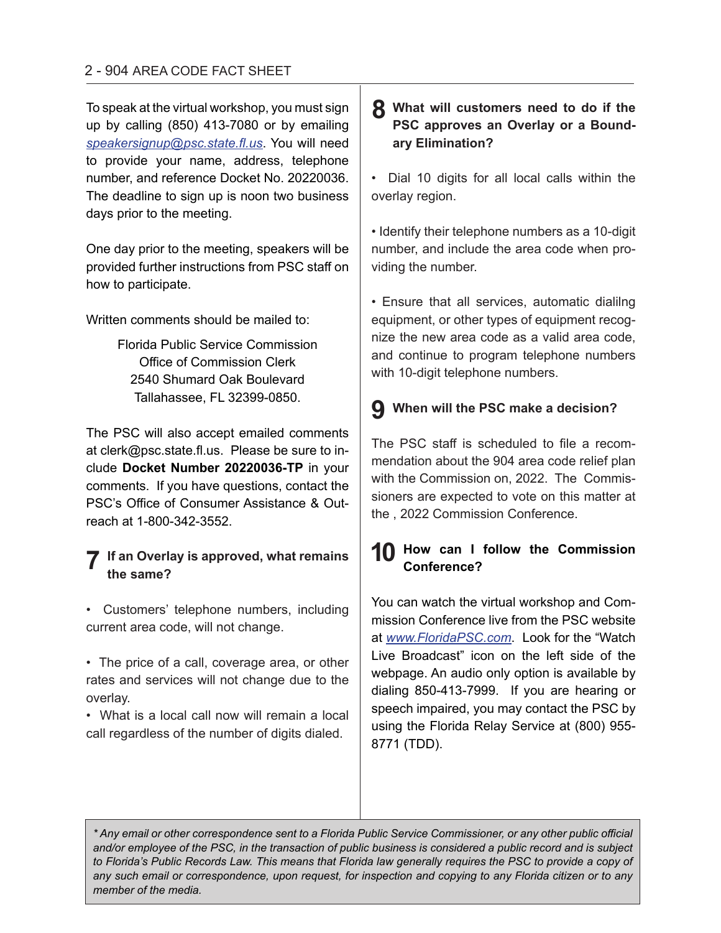To speak at the virtual workshop, you must sign up by calling (850) 413-7080 or by emailing *speakersignup@psc.state.fl.us*. You will need to provide your name, address, telephone number, and reference Docket No. 20220036. The deadline to sign up is noon two business days prior to the meeting.

One day prior to the meeting, speakers will be provided further instructions from PSC staff on how to participate.

Written comments should be mailed to:

Florida Public Service Commission Office of Commission Clerk 2540 Shumard Oak Boulevard Tallahassee, FL 32399-0850.

The PSC will also accept emailed comments at clerk@psc.state.fl.us. Please be sure to include **Docket Number 20220036-TP** in your comments. If you have questions, contact the PSC's Office of Consumer Assistance & Outreach at 1-800-342-3552.

# **If an Overlay is approved, what remains 7 the same?**

- Customers' telephone numbers, including current area code, will not change.
- The price of a call, coverage area, or other rates and services will not change due to the overlay.
- What is a local call now will remain a local call regardless of the number of digits dialed.

# **8** What will customers need to do if the **PSC approves an Overlay or a Boundary Elimination?**

• Dial 10 digits for all local calls within the overlay region.

• Identify their telephone numbers as a 10-digit number, and include the area code when providing the number.

• Ensure that all services, automatic dialilng equipment, or other types of equipment recognize the new area code as a valid area code, and continue to program telephone numbers with 10-digit telephone numbers.

# **When will the PSC make a decision? 9**

The PSC staff is scheduled to file a recommendation about the 904 area code relief plan with the Commission on, 2022. The Commissioners are expected to vote on this matter at the , 2022 Commission Conference.

# **How can I follow the Commission 10Conference?**

You can watch the virtual workshop and Commission Conference live from the PSC website at *www.FloridaPSC.com*. Look for the "Watch Live Broadcast" icon on the left side of the webpage. An audio only option is available by dialing 850-413-7999. If you are hearing or speech impaired, you may contact the PSC by using the Florida Relay Service at (800) 955- 8771 (TDD).

*\* Any email or other correspondence sent to a Florida Public Service Commissioner, or any other public official and/or employee of the PSC, in the transaction of public business is considered a public record and is subject*  to Florida's Public Records Law. This means that Florida law generally requires the PSC to provide a copy of *any such email or correspondence, upon request, for inspection and copying to any Florida citizen or to any member of the media.*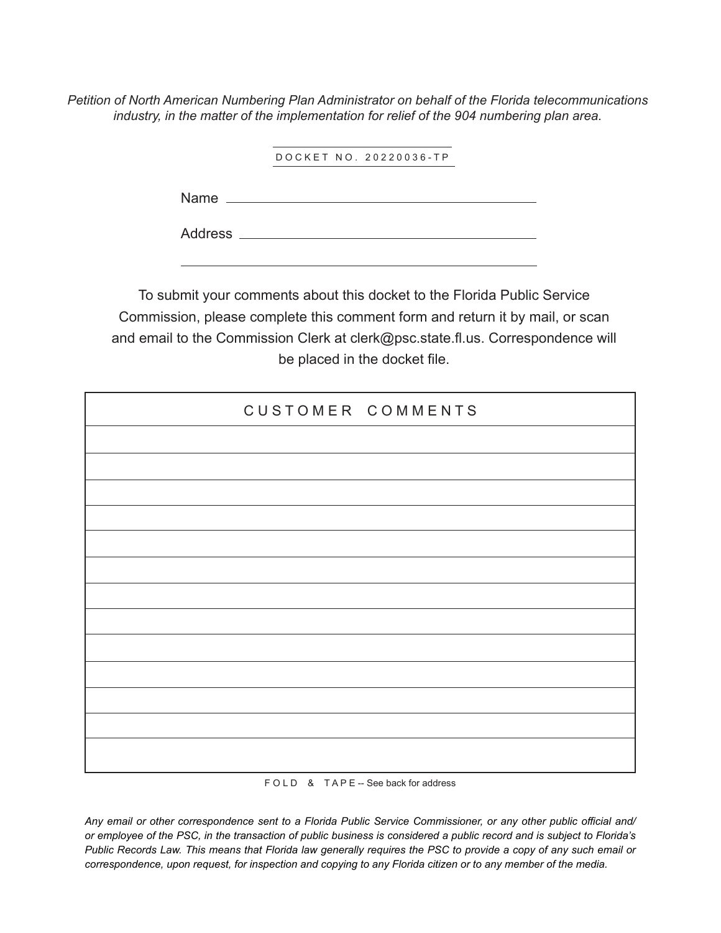*Petition of North American Numbering Plan Administrator on behalf of the Florida telecommunications industry, in the matter of the implementation for relief of the 904 numbering plan area.* 

D O C K E T N O . 2 0 2 2 0 0 3 6 - T P

Name

Address

To submit your comments about this docket to the Florida Public Service Commission, please complete this comment form and return it by mail, or scan and email to the Commission Clerk at clerk@psc.state.fl.us. Correspondence will be placed in the docket file.

| CUSTOMER COMMENTS |  |
|-------------------|--|
|                   |  |
|                   |  |
|                   |  |
|                   |  |
|                   |  |
|                   |  |
|                   |  |
|                   |  |
|                   |  |
|                   |  |
|                   |  |
|                   |  |
|                   |  |

F O L D & T A P E -- See back for address

*Any email or other correspondence sent to a Florida Public Service Commissioner, or any other public official and/ or employee of the PSC, in the transaction of public business is considered a public record and is subject to Florida's Public Records Law. This means that Florida law generally requires the PSC to provide a copy of any such email or correspondence, upon request, for inspection and copying to any Florida citizen or to any member of the media.*